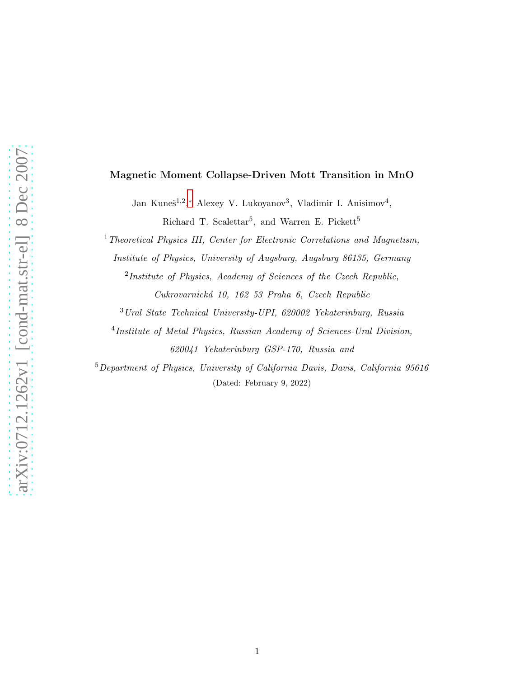### Magnetic Moment Collapse-Driven Mott Transition in MnO

Jan Kuneš<sup>1,2</sup>,\* Alexey V. Lukoyanov<sup>3</sup>, Vladimir I. Anisimov<sup>4</sup>,

Richard T. Scalettar<sup>5</sup>, and Warren E. Pickett<sup>5</sup>

<sup>1</sup>Theoretical Physics III, Center for Electronic Correlations and Magnetism,

Institute of Physics, University of Augsburg, Augsburg 86135, Germany

<sup>2</sup>Institute of Physics, Academy of Sciences of the Czech Republic, Cukrovarnick´a 10, 162 53 Praha 6, Czech Republic

<sup>3</sup>Ural State Technical University-UPI, 620002 Yekaterinburg, Russia

<sup>4</sup>Institute of Metal Physics, Russian Academy of Sciences-Ural Division, 620041 Yekaterinburg GSP-170, Russia and

<sup>5</sup>Department of Physics, University of California Davis, Davis, California 95616 (Dated: February 9, 2022)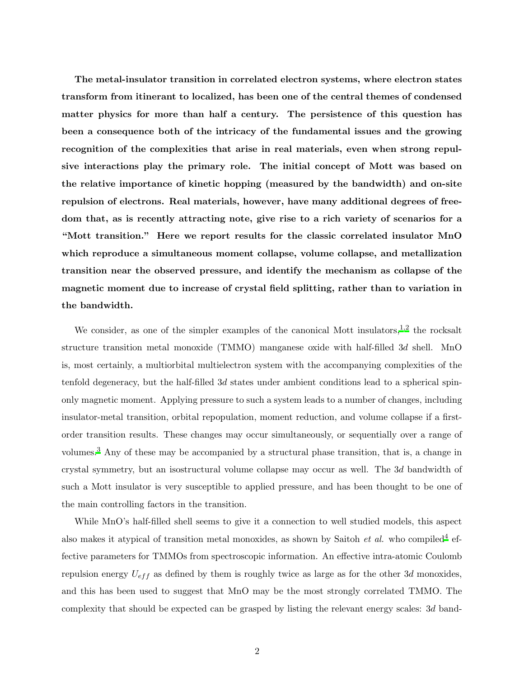The metal-insulator transition in correlated electron systems, where electron states transform from itinerant to localized, has been one of the central themes of condensed matter physics for more than half a century. The persistence of this question has been a consequence both of the intricacy of the fundamental issues and the growing recognition of the complexities that arise in real materials, even when strong repulsive interactions play the primary role. The initial concept of Mott was based on the relative importance of kinetic hopping (measured by the bandwidth) and on-site repulsion of electrons. Real materials, however, have many additional degrees of freedom that, as is recently attracting note, give rise to a rich variety of scenarios for a "Mott transition." Here we report results for the classic correlated insulator MnO which reproduce a simultaneous moment collapse, volume collapse, and metallization transition near the observed pressure, and identify the mechanism as collapse of the magnetic moment due to increase of crystal field splitting, rather than to variation in the bandwidth.

We consider, as one of the simpler examples of the canonical Mott insulators, $^{1,2}$  $^{1,2}$  $^{1,2}$  $^{1,2}$  the rocksalt structure transition metal monoxide (TMMO) manganese oxide with half-filled 3d shell. MnO is, most certainly, a multiorbital multielectron system with the accompanying complexities of the tenfold degeneracy, but the half-filled  $3d$  states under ambient conditions lead to a spherical spinonly magnetic moment. Applying pressure to such a system leads to a number of changes, including insulator-metal transition, orbital repopulation, moment reduction, and volume collapse if a firstorder transition results. These changes may occur simultaneously, or sequentially over a range of volumes.[3](#page-14-3) Any of these may be accompanied by a structural phase transition, that is, a change in crystal symmetry, but an isostructural volume collapse may occur as well. The 3d bandwidth of such a Mott insulator is very susceptible to applied pressure, and has been thought to be one of the main controlling factors in the transition.

While MnO's half-filled shell seems to give it a connection to well studied models, this aspect also makes it atypical of transition metal monoxides, as shown by Saitoh *et al.* who compiled<sup>[4](#page-14-4)</sup> effective parameters for TMMOs from spectroscopic information. An effective intra-atomic Coulomb repulsion energy  $U_{eff}$  as defined by them is roughly twice as large as for the other 3d monoxides, and this has been used to suggest that MnO may be the most strongly correlated TMMO. The complexity that should be expected can be grasped by listing the relevant energy scales: 3d band-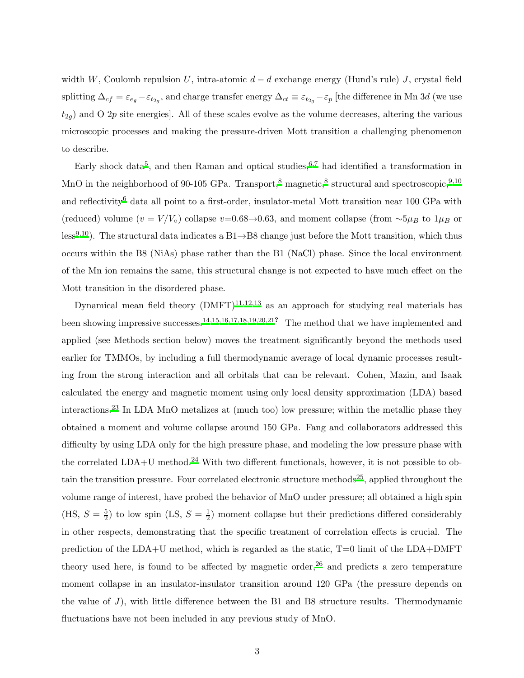width W, Coulomb repulsion U, intra-atomic  $d - d$  exchange energy (Hund's rule) J, crystal field splitting  $\Delta_{cf} = \varepsilon_{e_g} - \varepsilon_{t_{2g}}$ , and charge transfer energy  $\Delta_{ct} \equiv \varepsilon_{t_{2g}} - \varepsilon_p$  [the difference in Mn 3d (we use  $t_{2g}$ ) and O 2p site energies]. All of these scales evolve as the volume decreases, altering the various microscopic processes and making the pressure-driven Mott transition a challenging phenomenon to describe.

Early shock data<sup>[5](#page-14-5)</sup>, and then Raman and optical studies,  $6,7$  $6,7$  had identified a transformation in MnO in the neighborhood of 90-105 GPa. Transport,<sup>[8](#page-14-8)</sup> magnetic,<sup>8</sup> structural and spectroscopic,<sup>[9](#page-14-9)[,10](#page-14-10)</sup> and reflectivity<sup>[6](#page-14-6)</sup> data all point to a first-order, insulator-metal Mott transition near 100 GPa with (reduced) volume  $(v = V/V_0)$  collapse  $v=0.68\rightarrow 0.63$ , and moment collapse (from  $\sim 5\mu_B$  to  $1\mu_B$  or less<sup>[9](#page-14-9)[,10](#page-14-10)</sup>). The structural data indicates a B1 $\rightarrow$ B8 change just before the Mott transition, which thus occurs within the B8 (NiAs) phase rather than the B1 (NaCl) phase. Since the local environment of the Mn ion remains the same, this structural change is not expected to have much effect on the Mott transition in the disordered phase.

Dynamical mean field theory  $(DMFT)^{11,12,13}$  $(DMFT)^{11,12,13}$  $(DMFT)^{11,12,13}$  $(DMFT)^{11,12,13}$  $(DMFT)^{11,12,13}$  as an approach for studying real materials has been showing impressive successes.[14](#page-14-14)[,15](#page-14-15)[,16](#page-14-16)[,17](#page-15-0)[,18](#page-15-1)[,19](#page-15-2)[,20](#page-15-3)[,21](#page-15-4)? The method that we have implemented and applied (see Methods section below) moves the treatment significantly beyond the methods used earlier for TMMOs, by including a full thermodynamic average of local dynamic processes resulting from the strong interaction and all orbitals that can be relevant. Cohen, Mazin, and Isaak calculated the energy and magnetic moment using only local density approximation (LDA) based interactions.[23](#page-15-5) In LDA MnO metalizes at (much too) low pressure; within the metallic phase they obtained a moment and volume collapse around 150 GPa. Fang and collaborators addressed this difficulty by using LDA only for the high pressure phase, and modeling the low pressure phase with the correlated  $LDA+U$  method.<sup>[24](#page-15-6)</sup> With two different functionals, however, it is not possible to ob-tain the transition pressure. Four correlated electronic structure methods<sup>[25](#page-15-7)</sup>, applied throughout the volume range of interest, have probed the behavior of MnO under pressure; all obtained a high spin (HS,  $S = \frac{5}{2}$ )  $(\frac{5}{2})$  to low spin (LS,  $S = \frac{1}{2}$ )  $\frac{1}{2}$ ) moment collapse but their predictions differed considerably in other respects, demonstrating that the specific treatment of correlation effects is crucial. The prediction of the  $LDA+U$  method, which is regarded as the static,  $T=0$  limit of the  $LDA+DMFT$ theory used here, is found to be affected by magnetic order, $^{26}$  $^{26}$  $^{26}$  and predicts a zero temperature moment collapse in an insulator-insulator transition around 120 GPa (the pressure depends on the value of  $J$ ), with little difference between the B1 and B8 structure results. Thermodynamic fluctuations have not been included in any previous study of MnO.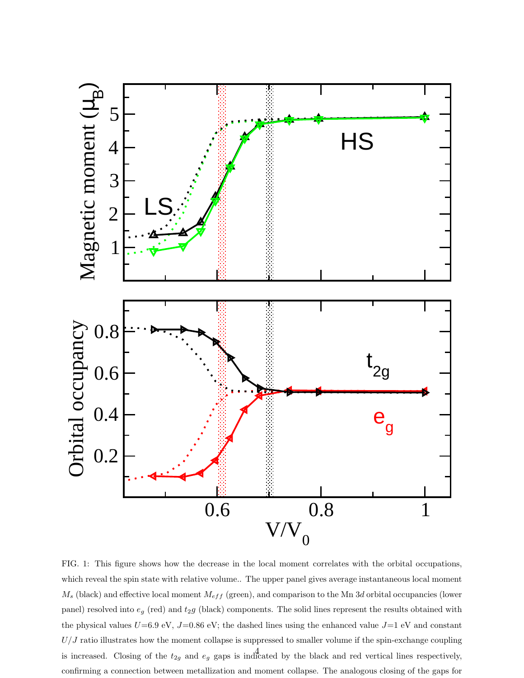

<span id="page-3-0"></span>FIG. 1: This figure shows how the decrease in the local moment correlates with the orbital occupations, which reveal the spin state with relative volume.. The upper panel gives average instantaneous local moment  $M_s$  (black) and effective local moment  $M_{eff}$  (green), and comparison to the Mn 3d orbital occupancies (lower panel) resolved into  $e_g$  (red) and  $t_2g$  (black) components. The solid lines represent the results obtained with the physical values  $U=6.9$  eV,  $J=0.86$  eV; the dashed lines using the enhanced value  $J=1$  eV and constant  $U/J$  ratio illustrates how the moment collapse is suppressed to smaller volume if the spin-exchange coupling is increased. Closing of the  $t_{2g}$  and  $e_g$  gaps is indicated by the black and red vertical lines respectively, confirming a connection between metallization and moment collapse. The analogous closing of the gaps for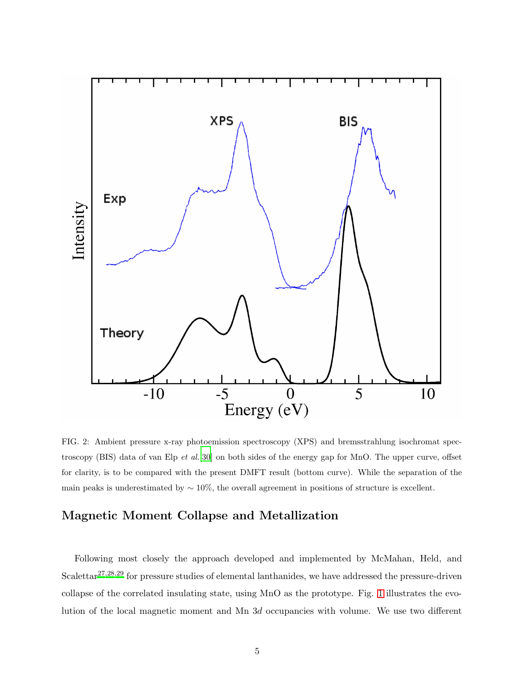

<span id="page-4-0"></span>FIG. 2: Ambient pressure x-ray photoemission spectroscopy (XPS) and bremsstrahlung isochromat spec-troscopy (BIS) data of van Elp et al.<sup>[\[30](#page-15-9)]</sup> on both sides of the energy gap for MnO. The upper curve, offset for clarity, is to be compared with the present DMFT result (bottom curve). While the separation of the main peaks is underestimated by  $\sim 10\%$ , the overall agreement in positions of structure is excellent.

# Magnetic Moment Collapse and Metallization

Following most closely the approach developed and implemented by McMahan, Held, and Scalettar<sup>[27](#page-15-10)[,28](#page-15-11)[,29](#page-15-12)</sup> for pressure studies of elemental lanthanides, we have addressed the pressure-driven collapse of the correlated insulating state, using MnO as the prototype. Fig. [1](#page-3-0) illustrates the evolution of the local magnetic moment and Mn 3d occupancies with volume. We use two different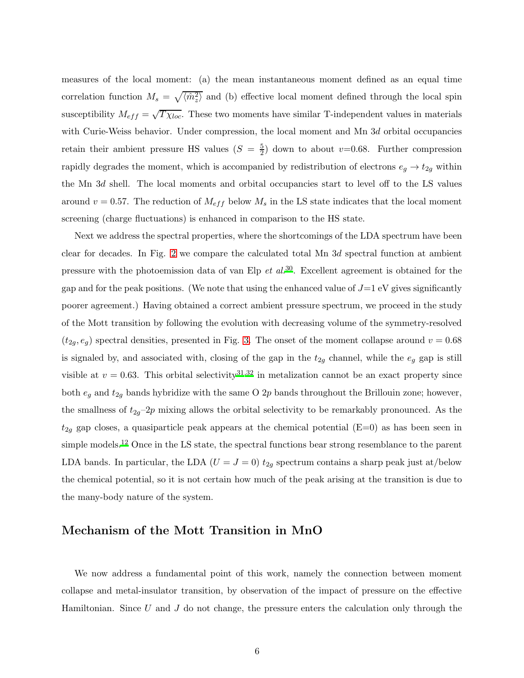measures of the local moment: (a) the mean instantaneous moment defined as an equal time correlation function  $M_s = \sqrt{\langle \hat{m}_z^2 \rangle}$  and (b) effective local moment defined through the local spin susceptibility  $M_{eff} = \sqrt{T \chi_{loc}}$ . These two moments have similar T-independent values in materials with Curie-Weiss behavior. Under compression, the local moment and Mn 3d orbital occupancies retain their ambient pressure HS values  $(S = \frac{5}{2})$  down to about v=0.68. Further compression rapidly degrades the moment, which is accompanied by redistribution of electrons  $e_g \rightarrow t_{2g}$  within the Mn 3d shell. The local moments and orbital occupancies start to level off to the LS values around  $v = 0.57$ . The reduction of  $M_{eff}$  below  $M_s$  in the LS state indicates that the local moment screening (charge fluctuations) is enhanced in comparison to the HS state.

Next we address the spectral properties, where the shortcomings of the LDA spectrum have been clear for decades. In Fig. [2](#page-4-0) we compare the calculated total Mn 3d spectral function at ambient pressure with the photoemission data of van Elp  $et$  al.<sup>[30](#page-15-9)</sup>. Excellent agreement is obtained for the gap and for the peak positions. (We note that using the enhanced value of  $J=1$  eV gives significantly poorer agreement.) Having obtained a correct ambient pressure spectrum, we proceed in the study of the Mott transition by following the evolution with decreasing volume of the symmetry-resolved  $(t_{2g}, e_g)$  spectral densities, presented in Fig. [3.](#page-6-0) The onset of the moment collapse around  $v = 0.68$ is signaled by, and associated with, closing of the gap in the  $t_{2g}$  channel, while the  $e_g$  gap is still visible at  $v = 0.63$ . This orbital selectivity<sup>[31](#page-15-13)[,32](#page-15-14)</sup> in metalization cannot be an exact property since both  $e_g$  and  $t_{2g}$  bands hybridize with the same O 2p bands throughout the Brillouin zone; however, the smallness of  $t_{2g}-2p$  mixing allows the orbital selectivity to be remarkably pronounced. As the  $t_{2g}$  gap closes, a quasiparticle peak appears at the chemical potential (E=0) as has been seen in simple models.<sup>[12](#page-14-12)</sup> Once in the LS state, the spectral functions bear strong resemblance to the parent LDA bands. In particular, the LDA ( $U = J = 0$ )  $t_{2g}$  spectrum contains a sharp peak just at/below the chemical potential, so it is not certain how much of the peak arising at the transition is due to the many-body nature of the system.

## Mechanism of the Mott Transition in MnO

We now address a fundamental point of this work, namely the connection between moment collapse and metal-insulator transition, by observation of the impact of pressure on the effective Hamiltonian. Since  $U$  and  $J$  do not change, the pressure enters the calculation only through the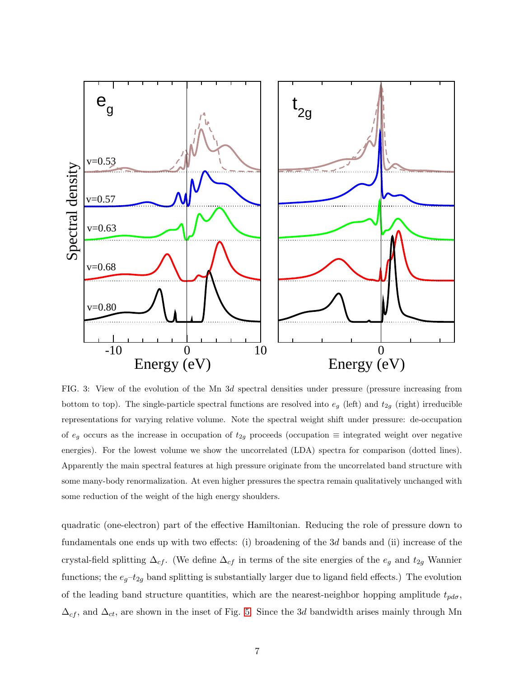

<span id="page-6-0"></span>FIG. 3: View of the evolution of the Mn 3d spectral densities under pressure (pressure increasing from bottom to top). The single-particle spectral functions are resolved into  $e_g$  (left) and  $t_{2g}$  (right) irreducible representations for varying relative volume. Note the spectral weight shift under pressure: de-occupation of  $e_g$  occurs as the increase in occupation of  $t_{2g}$  proceeds (occupation  $\equiv$  integrated weight over negative energies). For the lowest volume we show the uncorrelated (LDA) spectra for comparison (dotted lines). Apparently the main spectral features at high pressure originate from the uncorrelated band structure with some many-body renormalization. At even higher pressures the spectra remain qualitatively unchanged with some reduction of the weight of the high energy shoulders.

quadratic (one-electron) part of the effective Hamiltonian. Reducing the role of pressure down to fundamentals one ends up with two effects: (i) broadening of the 3d bands and (ii) increase of the crystal-field splitting  $\Delta_{cf}$ . (We define  $\Delta_{cf}$  in terms of the site energies of the  $e_g$  and  $t_{2g}$  Wannier functions; the  $e_g-t_{2g}$  band splitting is substantially larger due to ligand field effects.) The evolution of the leading band structure quantities, which are the nearest-neighbor hopping amplitude  $t_{pd\sigma}$ ,  $\Delta_{cf}$ , and  $\Delta_{ct}$ , are shown in the inset of Fig. [5.](#page-9-0) Since the 3d bandwidth arises mainly through Mn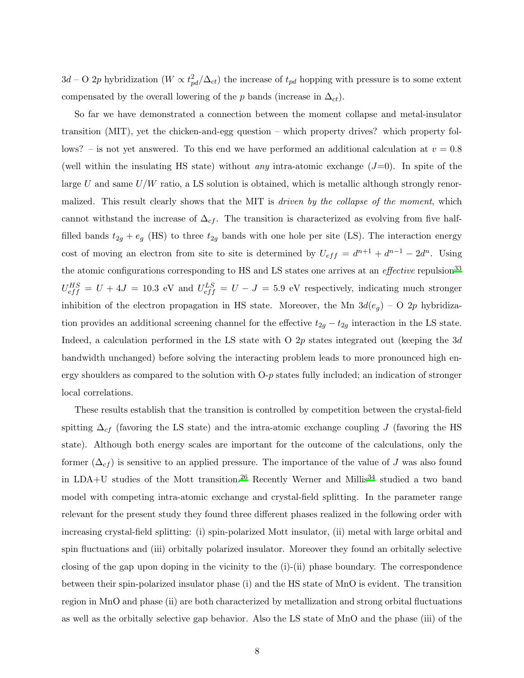$3d$  – O 2p hybridization ( $W \propto t_{pd}^2/\Delta_{ct}$ ) the increase of  $t_{pd}$  hopping with pressure is to some extent compensated by the overall lowering of the p bands (increase in  $\Delta_{ct}$ ).

So far we have demonstrated a connection between the moment collapse and metal-insulator transition (MIT), yet the chicken-and-egg question – which property drives? which property follows? – is not yet answered. To this end we have performed an additional calculation at  $v = 0.8$ (well within the insulating HS state) without *any* intra-atomic exchange  $(J=0)$ . In spite of the large  $U$  and same  $U/W$  ratio, a LS solution is obtained, which is metallic although strongly renormalized. This result clearly shows that the MIT is *driven by the collapse of the moment*, which cannot withstand the increase of  $\Delta_{cf}$ . The transition is characterized as evolving from five halffilled bands  $t_{2g} + e_g$  (HS) to three  $t_{2g}$  bands with one hole per site (LS). The interaction energy cost of moving an electron from site to site is determined by  $U_{eff} = d^{n+1} + d^{n-1} - 2d^n$ . Using the atomic configurations corresponding to HS and LS states one arrives at an *effective* repulsion<sup>[33](#page-16-0)</sup>  $U_{eff}^{HS} = U + 4J = 10.3$  eV and  $U_{eff}^{LS} = U - J = 5.9$  eV respectively, indicating much stronger inhibition of the electron propagation in HS state. Moreover, the Mn  $3d(e_q)$  – O 2p hybridization provides an additional screening channel for the effective  $t_{2g} - t_{2g}$  interaction in the LS state. Indeed, a calculation performed in the LS state with O 2p states integrated out (keeping the 3d bandwidth unchanged) before solving the interacting problem leads to more pronounced high energy shoulders as compared to the solution with O-p states fully included; an indication of stronger local correlations.

These results establish that the transition is controlled by competition between the crystal-field spitting  $\Delta_{cf}$  (favoring the LS state) and the intra-atomic exchange coupling J (favoring the HS state). Although both energy scales are important for the outcome of the calculations, only the former  $(\Delta_{cf})$  is sensitive to an applied pressure. The importance of the value of J was also found in LDA+U studies of the Mott transition.<sup>[26](#page-15-8)</sup> Recently Werner and Millis<sup>[34](#page-16-1)</sup> studied a two band model with competing intra-atomic exchange and crystal-field splitting. In the parameter range relevant for the present study they found three different phases realized in the following order with increasing crystal-field splitting: (i) spin-polarized Mott insulator, (ii) metal with large orbital and spin fluctuations and (iii) orbitally polarized insulator. Moreover they found an orbitally selective closing of the gap upon doping in the vicinity to the (i)-(ii) phase boundary. The correspondence between their spin-polarized insulator phase (i) and the HS state of MnO is evident. The transition region in MnO and phase (ii) are both characterized by metallization and strong orbital fluctuations as well as the orbitally selective gap behavior. Also the LS state of MnO and the phase (iii) of the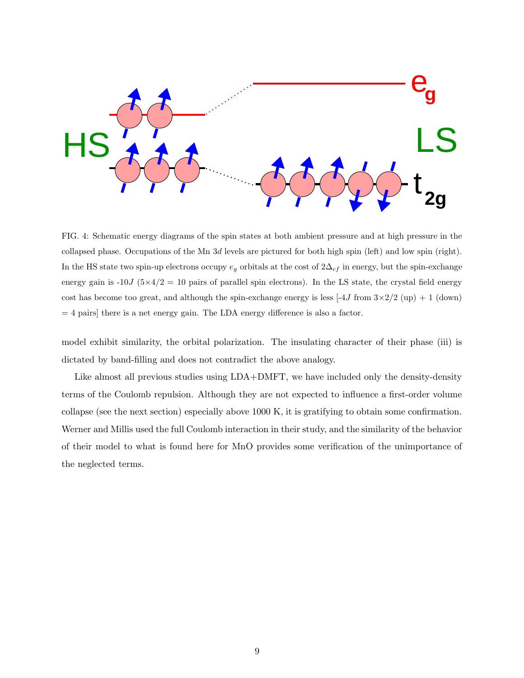

FIG. 4: Schematic energy diagrams of the spin states at both ambient pressure and at high pressure in the collapsed phase. Occupations of the Mn 3d levels are pictured for both high spin (left) and low spin (right). In the HS state two spin-up electrons occupy  $e_g$  orbitals at the cost of  $2\Delta_{cf}$  in energy, but the spin-exchange energy gain is -10J ( $5\times4/2$  = 10 pairs of parallel spin electrons). In the LS state, the crystal field energy cost has become too great, and although the spin-exchange energy is less  $[-4J \text{ from } 3 \times 2/2 \text{ (up)} + 1 \text{ (down)}]$  $= 4$  pairs] there is a net energy gain. The LDA energy difference is also a factor.

model exhibit similarity, the orbital polarization. The insulating character of their phase (iii) is dictated by band-filling and does not contradict the above analogy.

Like almost all previous studies using LDA+DMFT, we have included only the density-density terms of the Coulomb repulsion. Although they are not expected to influence a first-order volume collapse (see the next section) especially above 1000 K, it is gratifying to obtain some confirmation. Werner and Millis used the full Coulomb interaction in their study, and the similarity of the behavior of their model to what is found here for MnO provides some verification of the unimportance of the neglected terms.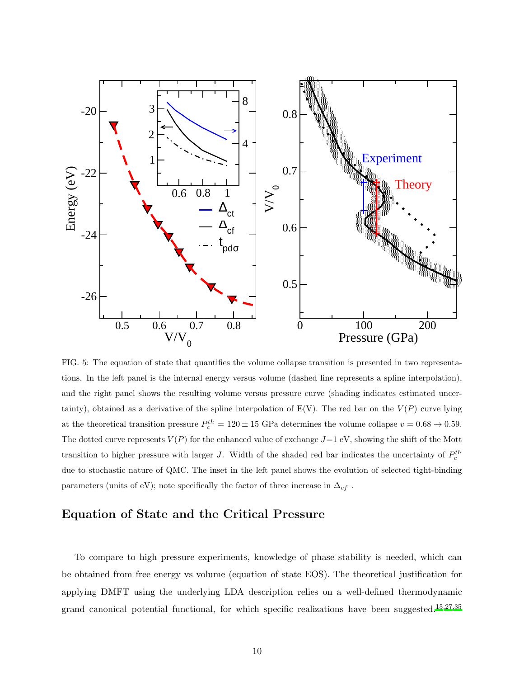

<span id="page-9-0"></span>FIG. 5: The equation of state that quantifies the volume collapse transition is presented in two representations. In the left panel is the internal energy versus volume (dashed line represents a spline interpolation), and the right panel shows the resulting volume versus pressure curve (shading indicates estimated uncertainty), obtained as a derivative of the spline interpolation of  $E(V)$ . The red bar on the  $V(P)$  curve lying at the theoretical transition pressure  $P_c^{th} = 120 \pm 15$  GPa determines the volume collapse  $v = 0.68 \rightarrow 0.59$ . The dotted curve represents  $V(P)$  for the enhanced value of exchange  $J=1$  eV, showing the shift of the Mott transition to higher pressure with larger *J*. Width of the shaded red bar indicates the uncertainty of  $P_c^{th}$ due to stochastic nature of QMC. The inset in the left panel shows the evolution of selected tight-binding parameters (units of eV); note specifically the factor of three increase in  $\Delta_{cf}$ .

## Equation of State and the Critical Pressure

To compare to high pressure experiments, knowledge of phase stability is needed, which can be obtained from free energy vs volume (equation of state EOS). The theoretical justification for applying DMFT using the underlying LDA description relies on a well-defined thermodynamic grand canonical potential functional, for which specific realizations have been suggested.<sup>[15](#page-14-15)[,27](#page-15-10)[,35](#page-16-2)</sup>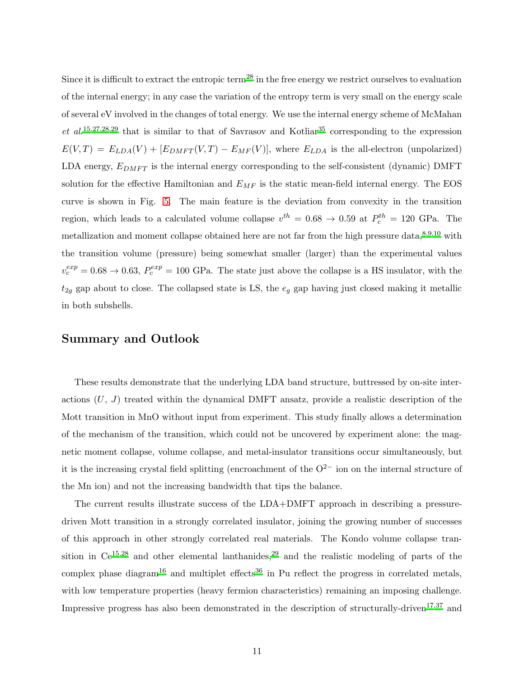Since it is difficult to extract the entropic term<sup>[28](#page-15-11)</sup> in the free energy we restrict ourselves to evaluation of the internal energy; in any case the variation of the entropy term is very small on the energy scale of several eV involved in the changes of total energy. We use the internal energy scheme of McMahan et al.<sup>[15](#page-14-15)[,27](#page-15-10)[,28](#page-15-11)[,29](#page-15-12)</sup> that is similar to that of Savrasov and Kotliar<sup>[35](#page-16-2)</sup> corresponding to the expression  $E(V,T) = E_{LDA}(V) + [E_{DMFT}(V,T) - E_{MF}(V)]$ , where  $E_{LDA}$  is the all-electron (unpolarized) LDA energy,  $E_{DMFT}$  is the internal energy corresponding to the self-consistent (dynamic) DMFT solution for the effective Hamiltonian and  $E_{MF}$  is the static mean-field internal energy. The EOS curve is shown in Fig. [5.](#page-9-0) The main feature is the deviation from convexity in the transition region, which leads to a calculated volume collapse  $v^{th} = 0.68 \rightarrow 0.59$  at  $P_c^{th} = 120$  GPa. The metallization and moment collapse obtained here are not far from the high pressure data,  $8,9,10$  $8,9,10$  $8,9,10$  with the transition volume (pressure) being somewhat smaller (larger) than the experimental values  $v_c^{exp} = 0.68 \rightarrow 0.63$ ,  $P_c^{exp} = 100$  GPa. The state just above the collapse is a HS insulator, with the  $t_{2g}$  gap about to close. The collapsed state is LS, the  $e_g$  gap having just closed making it metallic in both subshells.

### Summary and Outlook

These results demonstrate that the underlying LDA band structure, buttressed by on-site interactions  $(U, J)$  treated within the dynamical DMFT ansatz, provide a realistic description of the Mott transition in MnO without input from experiment. This study finally allows a determination of the mechanism of the transition, which could not be uncovered by experiment alone: the magnetic moment collapse, volume collapse, and metal-insulator transitions occur simultaneously, but it is the increasing crystal field splitting (encroachment of the  $O^{2-}$  ion on the internal structure of the Mn ion) and not the increasing bandwidth that tips the balance.

The current results illustrate success of the LDA+DMFT approach in describing a pressuredriven Mott transition in a strongly correlated insulator, joining the growing number of successes of this approach in other strongly correlated real materials. The Kondo volume collapse transition in  $Ce^{15,28}$  $Ce^{15,28}$  $Ce^{15,28}$  $Ce^{15,28}$  and other elemental lanthanides,<sup>[29](#page-15-12)</sup> and the realistic modeling of parts of the complex phase diagram<sup>[16](#page-14-16)</sup> and multiplet effects<sup>[36](#page-16-3)</sup> in Pu reflect the progress in correlated metals, with low temperature properties (heavy fermion characteristics) remaining an imposing challenge. Impressive progress has also been demonstrated in the description of structurally-driven<sup>[17](#page-15-0)[,37](#page-16-4)</sup> and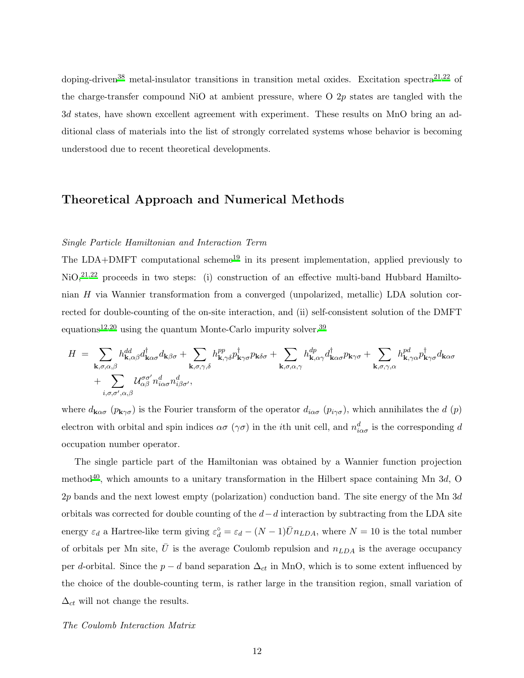doping-driven<sup>[38](#page-16-5)</sup> metal-insulator transitions in transition metal oxides. Excitation spectra<sup>[21](#page-15-4)[,22](#page-15-15)</sup> of the charge-transfer compound NiO at ambient pressure, where O 2p states are tangled with the 3d states, have shown excellent agreement with experiment. These results on MnO bring an additional class of materials into the list of strongly correlated systems whose behavior is becoming understood due to recent theoretical developments.

### Theoretical Approach and Numerical Methods

### Single Particle Hamiltonian and Interaction Term

The LDA+DMFT computational scheme<sup>[19](#page-15-2)</sup> in its present implementation, applied previously to NiO,<sup>[21](#page-15-4)[,22](#page-15-15)</sup> proceeds in two steps: (i) construction of an effective multi-band Hubbard Hamiltonian H via Wannier transformation from a converged (unpolarized, metallic) LDA solution corrected for double-counting of the on-site interaction, and (ii) self-consistent solution of the DMFT equations<sup>[12](#page-14-12)[,20](#page-15-3)</sup> using the quantum Monte-Carlo impurity solver.<sup>[39](#page-16-6)</sup>

$$
H = \sum_{\mathbf{k},\sigma,\alpha,\beta} h_{\mathbf{k},\alpha\beta}^{dd} d_{\mathbf{k}\alpha\sigma}^{\dagger} d_{\mathbf{k}\beta\sigma} + \sum_{\mathbf{k},\sigma,\gamma,\delta} h_{\mathbf{k},\gamma\delta}^{pp} p_{\mathbf{k}\gamma\sigma}^{\dagger} p_{\mathbf{k}\delta\sigma} + \sum_{\mathbf{k},\sigma,\alpha,\gamma} h_{\mathbf{k},\alpha\gamma}^{dp} d_{\mathbf{k}\alpha\sigma}^{\dagger} p_{\mathbf{k}\gamma\sigma} + \sum_{\mathbf{k},\sigma,\gamma,\alpha} h_{\mathbf{k},\gamma\alpha}^{pd} p_{\mathbf{k}\gamma\sigma}^{\dagger} d_{\mathbf{k}\alpha\sigma} + \sum_{i,\sigma,\sigma',\alpha,\beta} \mathcal{U}_{\alpha\beta}^{\sigma\sigma'} n_{i\alpha\sigma}^d n_{i\beta\sigma'}^d,
$$

where  $d_{\mathbf{k}\alpha\sigma}$  ( $p_{\mathbf{k}\gamma\sigma}$ ) is the Fourier transform of the operator  $d_{i\alpha\sigma}$  ( $p_{i\gamma\sigma}$ ), which annihilates the d (p) electron with orbital and spin indices  $\alpha\sigma$  ( $\gamma\sigma$ ) in the *i*<sup>th</sup> unit cell, and  $n_{i\alpha\sigma}^{d}$  is the corresponding d occupation number operator.

The single particle part of the Hamiltonian was obtained by a Wannier function projection method<sup>[40](#page-16-7)</sup>, which amounts to a unitary transformation in the Hilbert space containing Mn  $3d$ , O 2p bands and the next lowest empty (polarization) conduction band. The site energy of the Mn 3d orbitals was corrected for double counting of the  $d-d$  interaction by subtracting from the LDA site energy  $\varepsilon_d$  a Hartree-like term giving  $\varepsilon_d^{\circ} = \varepsilon_d - (N-1)\overline{U}n_{LDA}$ , where  $N = 10$  is the total number of orbitals per Mn site,  $\bar{U}$  is the average Coulomb repulsion and  $n_{LDA}$  is the average occupancy per d-orbital. Since the  $p - d$  band separation  $\Delta_{ct}$  in MnO, which is to some extent influenced by the choice of the double-counting term, is rather large in the transition region, small variation of  $\Delta_{ct}$  will not change the results.

#### The Coulomb Interaction Matrix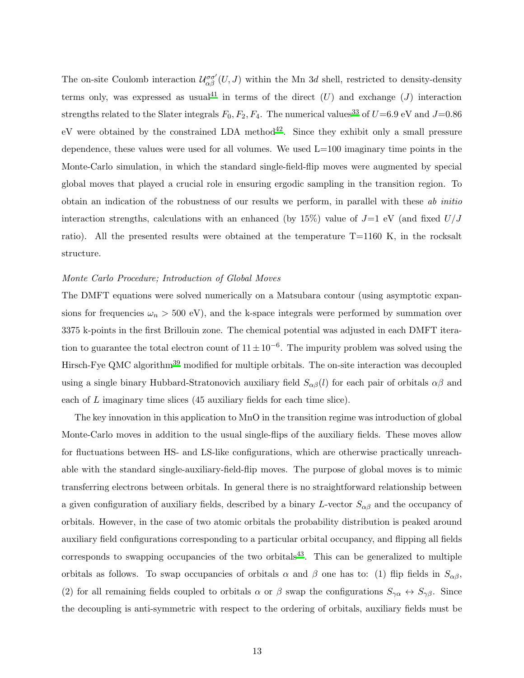The on-site Coulomb interaction  $\mathcal{U}_{\alpha\beta}^{\sigma\sigma'}(U,J)$  within the Mn 3d shell, restricted to density-density terms only, was expressed as usual<sup>[41](#page-16-8)</sup> in terms of the direct  $(U)$  and exchange  $(J)$  interaction strengths related to the Slater integrals  $F_0, F_2, F_4$ . The numerical values<sup>[33](#page-16-0)</sup> of  $U=6.9$  eV and  $J=0.86$ eV were obtained by the constrained LDA method<sup>[42](#page-16-9)</sup>. Since they exhibit only a small pressure dependence, these values were used for all volumes. We used L=100 imaginary time points in the Monte-Carlo simulation, in which the standard single-field-flip moves were augmented by special global moves that played a crucial role in ensuring ergodic sampling in the transition region. To obtain an indication of the robustness of our results we perform, in parallel with these ab initio interaction strengths, calculations with an enhanced (by 15%) value of  $J=1$  eV (and fixed  $U/J$ ratio). All the presented results were obtained at the temperature T=1160 K, in the rocksalt structure.

#### Monte Carlo Procedure; Introduction of Global Moves

The DMFT equations were solved numerically on a Matsubara contour (using asymptotic expansions for frequencies  $\omega_n > 500 \text{ eV}$ , and the k-space integrals were performed by summation over 3375 k-points in the first Brillouin zone. The chemical potential was adjusted in each DMFT iteration to guarantee the total electron count of  $11 \pm 10^{-6}$ . The impurity problem was solved using the Hirsch-Fye QMC algorithm[39](#page-16-6) modified for multiple orbitals. The on-site interaction was decoupled using a single binary Hubbard-Stratonovich auxiliary field  $S_{\alpha\beta}(l)$  for each pair of orbitals  $\alpha\beta$  and each of L imaginary time slices (45 auxiliary fields for each time slice).

The key innovation in this application to MnO in the transition regime was introduction of global Monte-Carlo moves in addition to the usual single-flips of the auxiliary fields. These moves allow for fluctuations between HS- and LS-like configurations, which are otherwise practically unreachable with the standard single-auxiliary-field-flip moves. The purpose of global moves is to mimic transferring electrons between orbitals. In general there is no straightforward relationship between a given configuration of auxiliary fields, described by a binary L-vector  $S_{\alpha\beta}$  and the occupancy of orbitals. However, in the case of two atomic orbitals the probability distribution is peaked around auxiliary field configurations corresponding to a particular orbital occupancy, and flipping all fields corresponds to swapping occupancies of the two orbitals<sup>[43](#page-16-10)</sup>. This can be generalized to multiple orbitals as follows. To swap occupancies of orbitals  $\alpha$  and  $\beta$  one has to: (1) flip fields in  $S_{\alpha\beta}$ , (2) for all remaining fields coupled to orbitals  $\alpha$  or  $\beta$  swap the configurations  $S_{\gamma\alpha} \leftrightarrow S_{\gamma\beta}$ . Since the decoupling is anti-symmetric with respect to the ordering of orbitals, auxiliary fields must be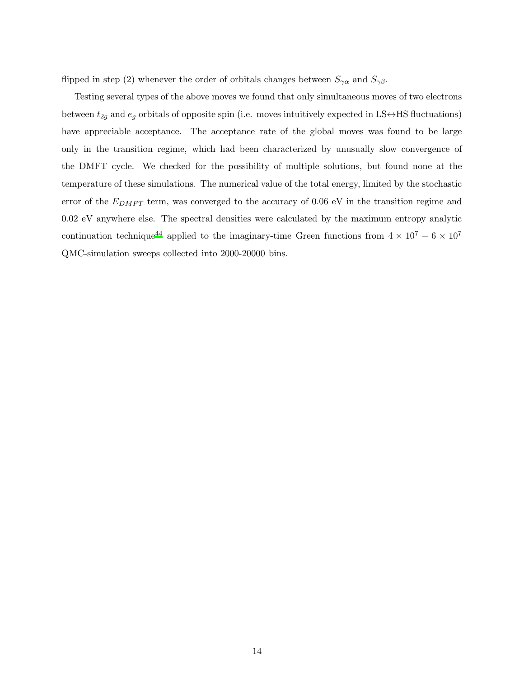flipped in step (2) whenever the order of orbitals changes between  $S_{\gamma\alpha}$  and  $S_{\gamma\beta}$ .

Testing several types of the above moves we found that only simultaneous moves of two electrons between  $t_{2g}$  and  $e_g$  orbitals of opposite spin (i.e. moves intuitively expected in LS↔HS fluctuations) have appreciable acceptance. The acceptance rate of the global moves was found to be large only in the transition regime, which had been characterized by unusually slow convergence of the DMFT cycle. We checked for the possibility of multiple solutions, but found none at the temperature of these simulations. The numerical value of the total energy, limited by the stochastic error of the  $E_{DMFT}$  term, was converged to the accuracy of 0.06 eV in the transition regime and 0.02 eV anywhere else. The spectral densities were calculated by the maximum entropy analytic continuation technique<sup>[44](#page-16-11)</sup> applied to the imaginary-time Green functions from  $4 \times 10^7 - 6 \times 10^7$ QMC-simulation sweeps collected into 2000-20000 bins.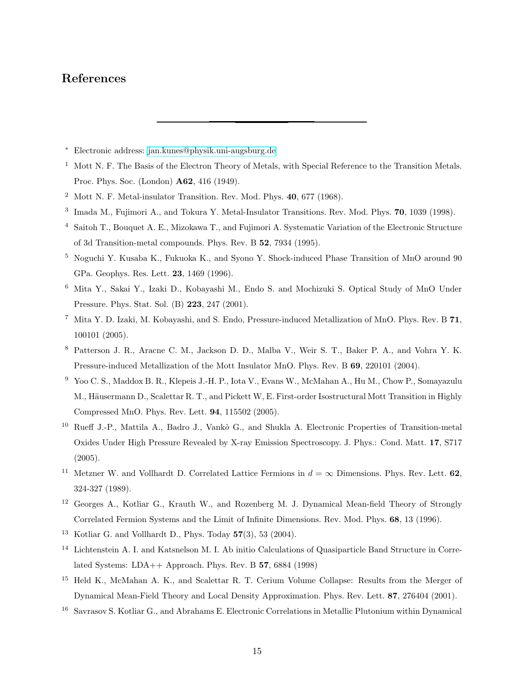### References

- <span id="page-14-0"></span><sup>∗</sup> Electronic address: [jan.kunes@physik.uni-augsburg.de](mailto:jan.kunes@physik.uni-augsburg.de)
- <span id="page-14-1"></span><sup>1</sup> Mott N. F. The Basis of the Electron Theory of Metals, with Special Reference to the Transition Metals. Proc. Phys. Soc. (London) A62, 416 (1949).
- <span id="page-14-2"></span><sup>2</sup> Mott N. F. Metal-insulator Transition. Rev. Mod. Phys.  $40, 677$  (1968).
- <span id="page-14-3"></span><sup>3</sup> Imada M., Fujimori A., and Tokura Y. Metal-Insulator Transitions. Rev. Mod. Phys. **70**, 1039 (1998).
- <span id="page-14-4"></span><sup>4</sup> Saitoh T., Bouquet A. E., Mizokawa T., and Fujimori A. Systematic Variation of the Electronic Structure of 3d Transition-metal compounds. Phys. Rev. B 52, 7934 (1995).
- <span id="page-14-5"></span><sup>5</sup> Noguchi Y. Kusaba K., Fukuoka K., and Syono Y. Shock-induced Phase Transition of MnO around 90 GPa. Geophys. Res. Lett. 23, 1469 (1996).
- <span id="page-14-6"></span><sup>6</sup> Mita Y., Sakai Y., Izaki D., Kobayashi M., Endo S. and Mochizuki S. Optical Study of MnO Under Pressure. Phys. Stat. Sol. (B) 223, 247 (2001).
- <span id="page-14-7"></span><sup>7</sup> Mita Y. D. Izaki, M. Kobayashi, and S. Endo, Pressure-induced Metallization of MnO. Phys. Rev. B 71, 100101 (2005).
- <span id="page-14-8"></span><sup>8</sup> Patterson J. R., Aracne C. M., Jackson D. D., Malba V., Weir S. T., Baker P. A., and Vohra Y. K. Pressure-induced Metallization of the Mott Insulator MnO. Phys. Rev. B 69, 220101 (2004).
- <span id="page-14-9"></span><sup>9</sup> Yoo C. S., Maddox B. R., Klepeis J.-H. P., Iota V., Evans W., McMahan A., Hu M., Chow P., Somayazulu M., Häusermann D., Scalettar R. T., and Pickett W, E. First-order Isostructural Mott Transition in Highly Compressed MnO. Phys. Rev. Lett. 94, 115502 (2005).
- <span id="page-14-10"></span><sup>10</sup> Rueff J.-P., Mattila A., Badro J., Vankò G., and Shukla A. Electronic Properties of Transition-metal Oxides Under High Pressure Revealed by X-ray Emission Spectroscopy. J. Phys.: Cond. Matt. 17, S717 (2005).
- <span id="page-14-11"></span><sup>11</sup> Metzner W. and Vollhardt D. Correlated Lattice Fermions in  $d = \infty$  Dimensions. Phys. Rev. Lett. 62. 324-327 (1989).
- <span id="page-14-12"></span><sup>12</sup> Georges A., Kotliar G., Krauth W., and Rozenberg M. J. Dynamical Mean-field Theory of Strongly Correlated Fermion Systems and the Limit of Infinite Dimensions. Rev. Mod. Phys. 68, 13 (1996).
- <span id="page-14-13"></span><sup>13</sup> Kotliar G. and Vollhardt D., Phys. Today  $57(3)$ , 53 (2004).
- <span id="page-14-14"></span><sup>14</sup> Lichtenstein A. I. and Katsnelson M. I. Ab initio Calculations of Quasiparticle Band Structure in Correlated Systems: LDA++ Approach. Phys. Rev. B 57, 6884 (1998)
- <span id="page-14-15"></span><sup>15</sup> Held K., McMahan A. K., and Scalettar R. T. Cerium Volume Collapse: Results from the Merger of Dynamical Mean-Field Theory and Local Density Approximation. Phys. Rev. Lett. 87, 276404 (2001).
- <span id="page-14-16"></span><sup>16</sup> Savrasov S. Kotliar G., and Abrahams E. Electronic Correlations in Metallic Plutonium within Dynamical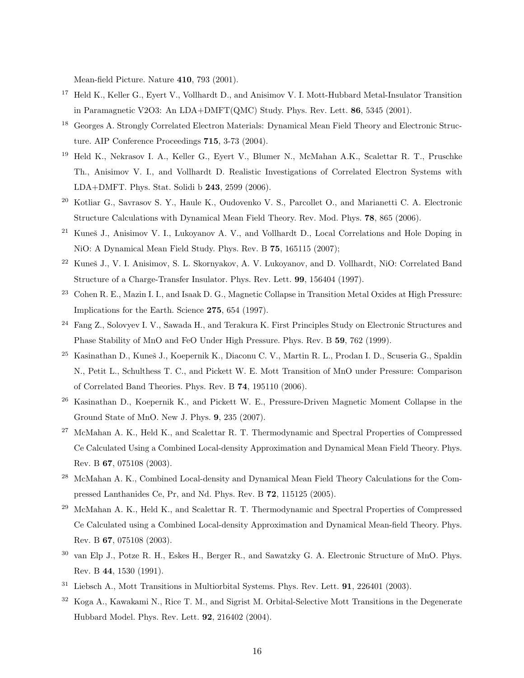Mean-field Picture. Nature 410, 793 (2001).

- <span id="page-15-0"></span><sup>17</sup> Held K., Keller G., Eyert V., Vollhardt D., and Anisimov V. I. Mott-Hubbard Metal-Insulator Transition in Paramagnetic V2O3: An LDA+DMFT(QMC) Study. Phys. Rev. Lett. 86, 5345 (2001).
- <span id="page-15-1"></span><sup>18</sup> Georges A. Strongly Correlated Electron Materials: Dynamical Mean Field Theory and Electronic Structure. AIP Conference Proceedings 715, 3-73 (2004).
- <span id="page-15-2"></span><sup>19</sup> Held K., Nekrasov I. A., Keller G., Eyert V., Blumer N., McMahan A.K., Scalettar R. T., Pruschke Th., Anisimov V. I., and Vollhardt D. Realistic Investigations of Correlated Electron Systems with LDA+DMFT. Phys. Stat. Solidi b 243, 2599 (2006).
- <span id="page-15-3"></span><sup>20</sup> Kotliar G., Savrasov S. Y., Haule K., Oudovenko V. S., Parcollet O., and Marianetti C. A. Electronic Structure Calculations with Dynamical Mean Field Theory. Rev. Mod. Phys. 78, 865 (2006).
- <span id="page-15-4"></span><sup>21</sup> Kuneš J., Anisimov V. I., Lukoyanov A. V., and Vollhardt D., Local Correlations and Hole Doping in NiO: A Dynamical Mean Field Study. Phys. Rev. B 75, 165115 (2007);
- <span id="page-15-15"></span><sup>22</sup> Kuneš J., V. I. Anisimov, S. L. Skornyakov, A. V. Lukoyanov, and D. Vollhardt, NiO: Correlated Band Structure of a Charge-Transfer Insulator. Phys. Rev. Lett. 99, 156404 (1997).
- <span id="page-15-5"></span><sup>23</sup> Cohen R. E., Mazin I. I., and Isaak D. G., Magnetic Collapse in Transition Metal Oxides at High Pressure: Implications for the Earth. Science 275, 654 (1997).
- <span id="page-15-6"></span><sup>24</sup> Fang Z., Solovyev I. V., Sawada H., and Terakura K. First Principles Study on Electronic Structures and Phase Stability of MnO and FeO Under High Pressure. Phys. Rev. B 59, 762 (1999).
- <span id="page-15-7"></span><sup>25</sup> Kasinathan D., Kuneš J., Koepernik K., Diaconu C. V., Martin R. L., Prodan I. D., Scuseria G., Spaldin N., Petit L., Schulthess T. C., and Pickett W. E. Mott Transition of MnO under Pressure: Comparison of Correlated Band Theories. Phys. Rev. B 74, 195110 (2006).
- <span id="page-15-8"></span><sup>26</sup> Kasinathan D., Koepernik K., and Pickett W. E., Pressure-Driven Magnetic Moment Collapse in the Ground State of MnO. New J. Phys. 9, 235 (2007).
- <span id="page-15-10"></span><sup>27</sup> McMahan A. K., Held K., and Scalettar R. T. Thermodynamic and Spectral Properties of Compressed Ce Calculated Using a Combined Local-density Approximation and Dynamical Mean Field Theory. Phys. Rev. B 67, 075108 (2003).
- <span id="page-15-11"></span><sup>28</sup> McMahan A. K., Combined Local-density and Dynamical Mean Field Theory Calculations for the Compressed Lanthanides Ce, Pr, and Nd. Phys. Rev. B 72, 115125 (2005).
- <span id="page-15-12"></span><sup>29</sup> McMahan A. K., Held K., and Scalettar R. T. Thermodynamic and Spectral Properties of Compressed Ce Calculated using a Combined Local-density Approximation and Dynamical Mean-field Theory. Phys. Rev. B 67, 075108 (2003).
- <span id="page-15-9"></span><sup>30</sup> van Elp J., Potze R. H., Eskes H., Berger R., and Sawatzky G. A. Electronic Structure of MnO. Phys. Rev. B 44, 1530 (1991).
- <span id="page-15-13"></span> $31$  Liebsch A., Mott Transitions in Multiorbital Systems. Phys. Rev. Lett. **91**, 226401 (2003).
- <span id="page-15-14"></span><sup>32</sup> Koga A., Kawakami N., Rice T. M., and Sigrist M. Orbital-Selective Mott Transitions in the Degenerate Hubbard Model. Phys. Rev. Lett. 92, 216402 (2004).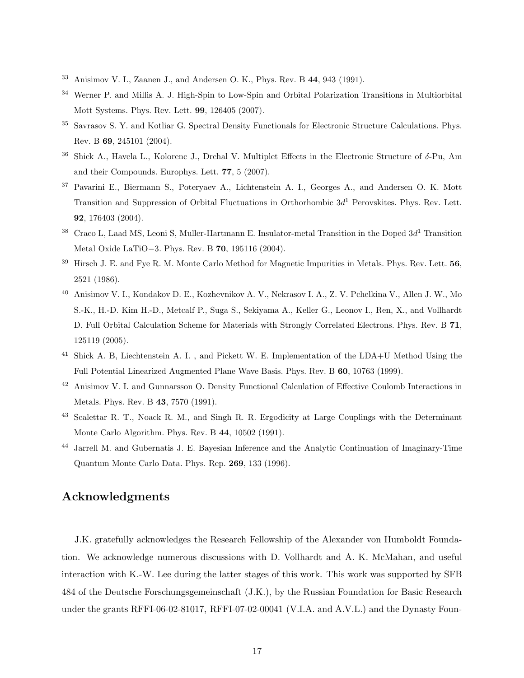- <span id="page-16-0"></span><sup>33</sup> Anisimov V. I., Zaanen J., and Andersen O. K., Phys. Rev. B 44, 943 (1991).
- <span id="page-16-1"></span><sup>34</sup> Werner P. and Millis A. J. High-Spin to Low-Spin and Orbital Polarization Transitions in Multiorbital Mott Systems. Phys. Rev. Lett. 99, 126405 (2007).
- <span id="page-16-2"></span><sup>35</sup> Savrasov S. Y. and Kotliar G. Spectral Density Functionals for Electronic Structure Calculations. Phys. Rev. B 69, 245101 (2004).
- <span id="page-16-3"></span><sup>36</sup> Shick A., Havela L., Kolorenc J., Drchal V. Multiplet Effects in the Electronic Structure of δ-Pu, Am and their Compounds. Europhys. Lett. 77, 5 (2007).
- <span id="page-16-4"></span><sup>37</sup> Pavarini E., Biermann S., Poteryaev A., Lichtenstein A. I., Georges A., and Andersen O. K. Mott Transition and Suppression of Orbital Fluctuations in Orthorhombic  $3d<sup>1</sup>$  Perovskites. Phys. Rev. Lett. 92, 176403 (2004).
- <span id="page-16-5"></span> $38$  Craco L, Laad MS, Leoni S, Muller-Hartmann E. Insulator-metal Transition in the Doped  $3d<sup>1</sup>$  Transition Metal Oxide LaTiO−3. Phys. Rev. B 70, 195116 (2004).
- <span id="page-16-6"></span> $39$  Hirsch J. E. and Fye R. M. Monte Carlo Method for Magnetic Impurities in Metals. Phys. Rev. Lett.  $56$ , 2521 (1986).
- <span id="page-16-7"></span><sup>40</sup> Anisimov V. I., Kondakov D. E., Kozhevnikov A. V., Nekrasov I. A., Z. V. Pchelkina V., Allen J. W., Mo S.-K., H.-D. Kim H.-D., Metcalf P., Suga S., Sekiyama A., Keller G., Leonov I., Ren, X., and Vollhardt D. Full Orbital Calculation Scheme for Materials with Strongly Correlated Electrons. Phys. Rev. B 71, 125119 (2005).
- <span id="page-16-8"></span><sup>41</sup> Shick A. B, Liechtenstein A. I., and Pickett W. E. Implementation of the LDA+U Method Using the Full Potential Linearized Augmented Plane Wave Basis. Phys. Rev. B 60, 10763 (1999).
- <span id="page-16-9"></span><sup>42</sup> Anisimov V. I. and Gunnarsson O. Density Functional Calculation of Effective Coulomb Interactions in Metals. Phys. Rev. B 43, 7570 (1991).
- <span id="page-16-10"></span><sup>43</sup> Scalettar R. T., Noack R. M., and Singh R. R. Ergodicity at Large Couplings with the Determinant Monte Carlo Algorithm. Phys. Rev. B 44, 10502 (1991).
- <span id="page-16-11"></span><sup>44</sup> Jarrell M. and Gubernatis J. E. Bayesian Inference and the Analytic Continuation of Imaginary-Time Quantum Monte Carlo Data. Phys. Rep. 269, 133 (1996).

## Acknowledgments

J.K. gratefully acknowledges the Research Fellowship of the Alexander von Humboldt Foundation. We acknowledge numerous discussions with D. Vollhardt and A. K. McMahan, and useful interaction with K.-W. Lee during the latter stages of this work. This work was supported by SFB 484 of the Deutsche Forschungsgemeinschaft (J.K.), by the Russian Foundation for Basic Research under the grants RFFI-06-02-81017, RFFI-07-02-00041 (V.I.A. and A.V.L.) and the Dynasty Foun